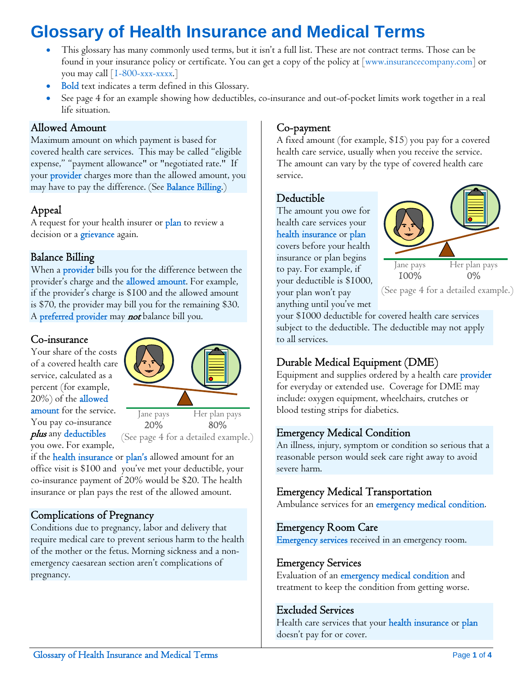# **Glossary of Health Insurance and Medical Terms**

- This glossary has many commonly used terms, but it isn't a full list. These are not contract terms. Those can be found in your insurance policy or certificate. You can get a copy of the policy at [www.insurancecompany.com] or you may call  $\lceil 1 - 800 - xxx - xxxx. \rceil$
- Bold text indicates a term defined in this Glossary.
- See page 4 for an example showing how deductibles, co-insurance and out-of-pocket limits work together in a real life situation.

#### Allowed Amount

Maximum amount on which payment is based for covered health care services. This may be called "eligible expense," "payment allowance" or "negotiated rate." If your **provider** charges more than the allowed amount, you may have to pay the difference. (See Balance Billing.)

## Appeal

A request for your health insurer or plan to review a decision or a *grievance* again.

## Balance Billing

When a **provider** bills you for the difference between the provider's charge and the allowed amount. For example, if the provider's charge is \$100 and the allowed amount is \$70, the provider may bill you for the remaining \$30. A preferred provider may not balance bill you.

#### Co-insurance

Your share of the costs of a covered health care service, calculated as a percent (for example, 20%) of the allowed amount for the service. You pay co-insurance plus any deductibles you owe. For example,



(See page 4 for a detailed example.)

if the health insurance or plan's allowed amount for an office visit is \$100 and you've met your deductible, your co-insurance payment of 20% would be \$20. The health insurance or plan pays the rest of the allowed amount.

## Complications of Pregnancy

Conditions due to pregnancy, labor and delivery that require medical care to prevent serious harm to the health of the mother or the fetus. Morning sickness and a nonemergency caesarean section aren't complications of pregnancy.

#### Co-payment

A fixed amount (for example, \$15) you pay for a covered health care service, usually when you receive the service. The amount can vary by the type of covered health care service.

#### Deductible

The amount you owe for health care services your health insurance or plan covers before your health insurance or plan begins to pay. For example, if your deductible is \$1000, your plan won't pay anything until you've met



your \$1000 deductible for covered health care services subject to the deductible. The deductible may not apply to all services.

## Durable Medical Equipment (DME)

Equipment and supplies ordered by a health care provider for everyday or extended use. Coverage for DME may include: oxygen equipment, wheelchairs, crutches or blood testing strips for diabetics.

#### Emergency Medical Condition

An illness, injury, symptom or condition so serious that a reasonable person would seek care right away to avoid severe harm.

## Emergency Medical Transportation

Ambulance services for an emergency medical condition.

#### Emergency Room Care

Emergency services received in an emergency room.

#### Emergency Services

Evaluation of an emergency medical condition and treatment to keep the condition from getting worse.

#### Excluded Services

Health care services that your health insurance or plan doesn't pay for or cover.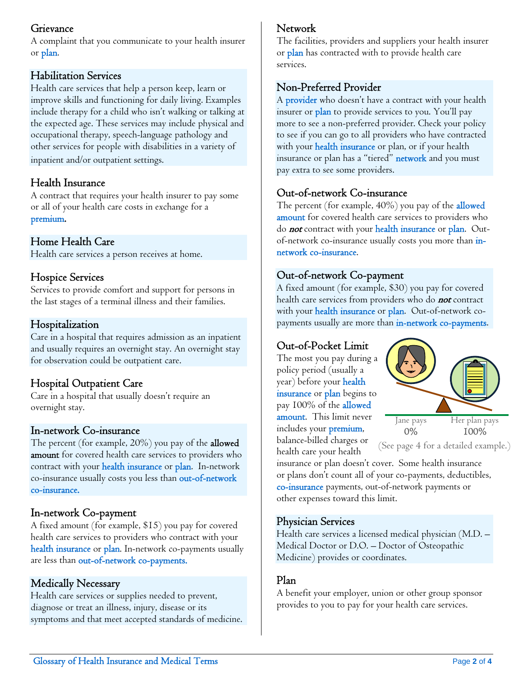## Grievance

A complaint that you communicate to your health insurer or plan.

#### Habilitation Services

Health care services that help a person keep, learn or improve skills and functioning for daily living. Examples include therapy for a child who isn't walking or talking at the expected age. These services may include physical and occupational therapy, speech-language pathology and other services for people with disabilities in a variety of inpatient and/or outpatient settings.

#### Health Insurance

A contract that requires your health insurer to pay some or all of your health care costs in exchange for a premium.

#### Home Health Care

Health care services a person receives at home.

#### Hospice Services

Services to provide comfort and support for persons in the last stages of a terminal illness and their families.

#### Hospitalization

Care in a hospital that requires admission as an inpatient and usually requires an overnight stay. An overnight stay for observation could be outpatient care.

## Hospital Outpatient Care

Care in a hospital that usually doesn't require an overnight stay.

#### In-network Co-insurance

The percent (for example, 20%) you pay of the allowed amount for covered health care services to providers who contract with your health insurance or plan. In-network co-insurance usually costs you less than out-of-network co-insurance.

## In-network Co-payment

A fixed amount (for example, \$15) you pay for covered health care services to providers who contract with your health insurance or plan. In-network co-payments usually are less than out-of-network co-payments.

## Medically Necessary

Health care services or supplies needed to prevent, diagnose or treat an illness, injury, disease or its symptoms and that meet accepted standards of medicine.

## Network

The facilities, providers and suppliers your health insurer or plan has contracted with to provide health care services.

#### Non-Preferred Provider

A **provider** who doesn't have a contract with your health insurer or plan to provide services to you. You'll pay more to see a non-preferred provider. Check your policy to see if you can go to all providers who have contracted with your health insurance or plan, or if your health insurance or plan has a "tiered" network and you must pay extra to see some providers.

#### Out-of-network Co-insurance

The percent (for example, 40%) you pay of the allowed amount for covered health care services to providers who do **not** contract with your health insurance or plan. Outof-network co-insurance usually costs you more than innetwork co-insurance.

#### Out-of-network Co-payment

A fixed amount (for example, \$30) you pay for covered health care services from providers who do **not** contract with your health insurance or plan. Out-of-network copayments usually are more than in-network co-payments.

#### Out-of-Pocket Limit

The most you pay during a policy period (usually a year) before your health insurance or plan begins to pay 100% of the **allowed** amount. This limit never includes your premium, balance-billed charges or



(See page 4 for a detailed example.)

insurance or plan doesn't cover. Some health insurance or plans don't count all of your co-payments, deductibles, co-insurance payments, out-of-network payments or other expenses toward this limit.

#### Physician Services

health care your health

Health care services a licensed medical physician (M.D. – Medical Doctor or D.O. – Doctor of Osteopathic Medicine) provides or coordinates.

#### Plan

A benefit your employer, union or other group sponsor provides to you to pay for your health care services.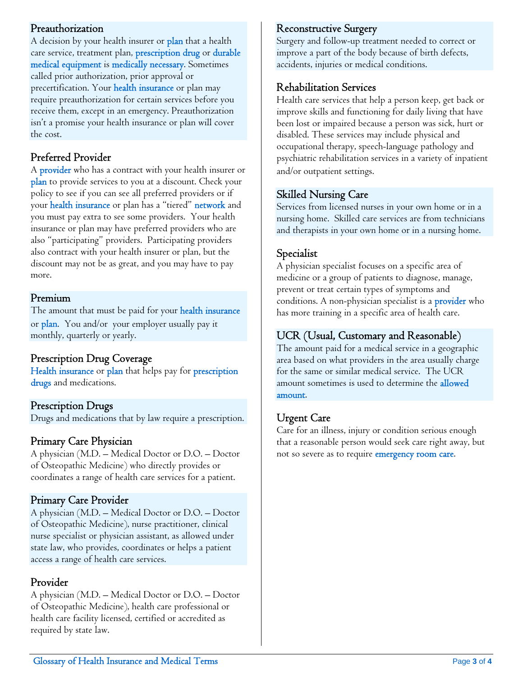#### Preauthorization

A decision by your health insurer or plan that a health care service, treatment plan, prescription drug or durable medical equipment is medically necessary. Sometimes called prior authorization, prior approval or precertification. Your health insurance or plan may require preauthorization for certain services before you receive them, except in an emergency. Preauthorization isn't a promise your health insurance or plan will cover the cost.

## Preferred Provider

A provider who has a contract with your health insurer or plan to provide services to you at a discount. Check your policy to see if you can see all preferred providers or if your health insurance or plan has a "tiered" network and you must pay extra to see some providers. Your health insurance or plan may have preferred providers who are also "participating" providers. Participating providers also contract with your health insurer or plan, but the discount may not be as great, and you may have to pay more.

#### Premium

The amount that must be paid for your health insurance or plan. You and/or your employer usually pay it monthly, quarterly or yearly.

## Prescription Drug Coverage

Health insurance or plan that helps pay for prescription drugs and medications.

## Prescription Drugs

Drugs and medications that by law require a prescription.

## Primary Care Physician

A physician (M.D. – Medical Doctor or D.O. – Doctor of Osteopathic Medicine) who directly provides or coordinates a range of health care services for a patient.

## Primary Care Provider

A physician (M.D. – Medical Doctor or D.O. – Doctor of Osteopathic Medicine), nurse practitioner, clinical nurse specialist or physician assistant, as allowed under state law, who provides, coordinates or helps a patient access a range of health care services.

## Provider

A physician (M.D. – Medical Doctor or D.O. – Doctor of Osteopathic Medicine), health care professional or health care facility licensed, certified or accredited as required by state law.

## Reconstructive Surgery

Surgery and follow-up treatment needed to correct or improve a part of the body because of birth defects, accidents, injuries or medical conditions.

#### Rehabilitation Services

Health care services that help a person keep, get back or improve skills and functioning for daily living that have been lost or impaired because a person was sick, hurt or disabled. These services may include physical and occupational therapy, speech-language pathology and psychiatric rehabilitation services in a variety of inpatient and/or outpatient settings.

#### Skilled Nursing Care

Services from licensed nurses in your own home or in a nursing home. Skilled care services are from technicians and therapists in your own home or in a nursing home.

## Specialist

A physician specialist focuses on a specific area of medicine or a group of patients to diagnose, manage, prevent or treat certain types of symptoms and conditions. A non-physician specialist is a **provider** who has more training in a specific area of health care.

#### UCR (Usual, Customary and Reasonable)

The amount paid for a medical service in a geographic area based on what providers in the area usually charge for the same or similar medical service. The UCR amount sometimes is used to determine the allowed amount.

## Urgent Care

Care for an illness, injury or condition serious enough that a reasonable person would seek care right away, but not so severe as to require emergency room care.